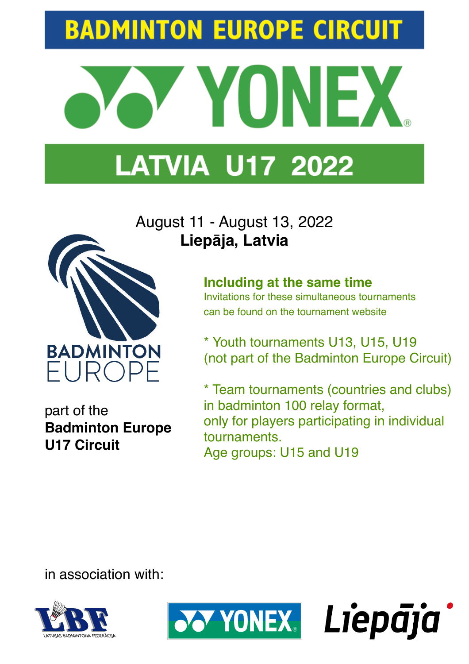## **BADMINTON EUROPE CIRCUIT**



## **LATVIA U17 2022**

## August 11 - August 13, 2022 **Liepāja, Latvia**



can be found on the tournament website

\* Youth tournaments U13, U15, U19 (not part of the Badminton Europe Circuit)

\* Team tournaments (countries and clubs) in badminton 100 relay format, only for players participating in individual tournaments. Age groups: U15 and U19

**Badminton Europe U17 Circuit**

**BADMINTON** 

FUROPE

part of the

in association with:



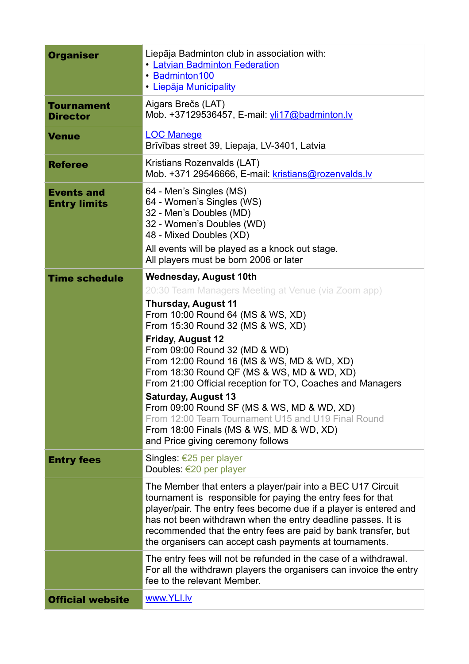| <b>Organiser</b>                         | Liepāja Badminton club in association with:<br><b>• Latvian Badminton Federation</b><br>· Badminton100<br>· Liepāja Municipality                                                                                                                                                                                                                                                                                                                                                                                                                                                               |  |
|------------------------------------------|------------------------------------------------------------------------------------------------------------------------------------------------------------------------------------------------------------------------------------------------------------------------------------------------------------------------------------------------------------------------------------------------------------------------------------------------------------------------------------------------------------------------------------------------------------------------------------------------|--|
| <b>Tournament</b><br><b>Director</b>     | Aigars Brečs (LAT)<br>Mob. +37129536457, E-mail: yli17@badminton.lv                                                                                                                                                                                                                                                                                                                                                                                                                                                                                                                            |  |
| <b>Venue</b>                             | <b>LOC Manege</b><br>Brīvības street 39, Liepaja, LV-3401, Latvia                                                                                                                                                                                                                                                                                                                                                                                                                                                                                                                              |  |
| <b>Referee</b>                           | Kristians Rozenvalds (LAT)<br>Mob. +371 29546666, E-mail: kristians@rozenvalds.lv                                                                                                                                                                                                                                                                                                                                                                                                                                                                                                              |  |
| <b>Events and</b><br><b>Entry limits</b> | 64 - Men's Singles (MS)<br>64 - Women's Singles (WS)<br>32 - Men's Doubles (MD)<br>32 - Women's Doubles (WD)<br>48 - Mixed Doubles (XD)<br>All events will be played as a knock out stage.<br>All players must be born 2006 or later                                                                                                                                                                                                                                                                                                                                                           |  |
| <b>Time schedule</b>                     | <b>Wednesday, August 10th</b>                                                                                                                                                                                                                                                                                                                                                                                                                                                                                                                                                                  |  |
|                                          | 20:30 Team Managers Meeting at Venue (via Zoom app)<br><b>Thursday, August 11</b><br>From 10:00 Round 64 (MS & WS, XD)<br>From 15:30 Round 32 (MS & WS, XD)<br>Friday, August 12<br>From 09:00 Round 32 (MD & WD)<br>From 12:00 Round 16 (MS & WS, MD & WD, XD)<br>From 18:30 Round QF (MS & WS, MD & WD, XD)<br>From 21:00 Official reception for TO, Coaches and Managers<br><b>Saturday, August 13</b><br>From 09:00 Round SF (MS & WS, MD & WD, XD)<br>From 12:00 Team Tournament U15 and U19 Final Round<br>From 18:00 Finals (MS & WS, MD & WD, XD)<br>and Price giving ceremony follows |  |
| <b>Entry fees</b>                        | Singles: €25 per player<br>Doubles: €20 per player                                                                                                                                                                                                                                                                                                                                                                                                                                                                                                                                             |  |
|                                          | The Member that enters a player/pair into a BEC U17 Circuit<br>tournament is responsible for paying the entry fees for that<br>player/pair. The entry fees become due if a player is entered and<br>has not been withdrawn when the entry deadline passes. It is<br>recommended that the entry fees are paid by bank transfer, but<br>the organisers can accept cash payments at tournaments.                                                                                                                                                                                                  |  |
|                                          | The entry fees will not be refunded in the case of a withdrawal.<br>For all the withdrawn players the organisers can invoice the entry<br>fee to the relevant Member.                                                                                                                                                                                                                                                                                                                                                                                                                          |  |
| <b>Official website</b>                  | www.YLI.lv                                                                                                                                                                                                                                                                                                                                                                                                                                                                                                                                                                                     |  |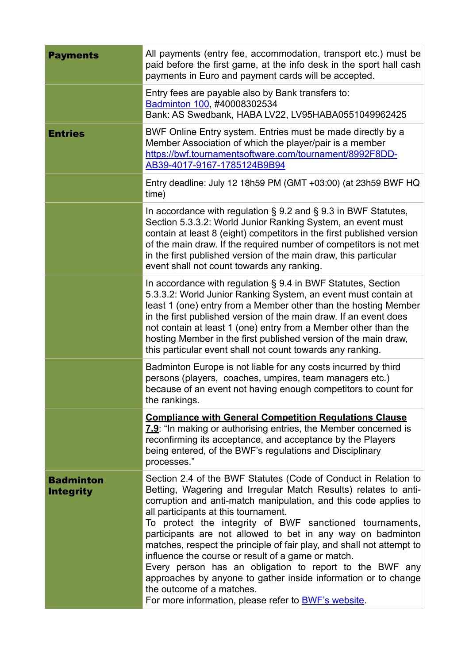| <b>Payments</b>                      | All payments (entry fee, accommodation, transport etc.) must be<br>paid before the first game, at the info desk in the sport hall cash<br>payments in Euro and payment cards will be accepted.                                                                                                                                                                                                                                                                                                                                                                                                                                                                                                                                    |  |
|--------------------------------------|-----------------------------------------------------------------------------------------------------------------------------------------------------------------------------------------------------------------------------------------------------------------------------------------------------------------------------------------------------------------------------------------------------------------------------------------------------------------------------------------------------------------------------------------------------------------------------------------------------------------------------------------------------------------------------------------------------------------------------------|--|
|                                      | Entry fees are payable also by Bank transfers to:<br>Badminton 100, #40008302534<br>Bank: AS Swedbank, HABA LV22, LV95HABA0551049962425                                                                                                                                                                                                                                                                                                                                                                                                                                                                                                                                                                                           |  |
| <b>Entries</b>                       | BWF Online Entry system. Entries must be made directly by a<br>Member Association of which the player/pair is a member<br>https://bwf.tournamentsoftware.com/tournament/8992F8DD-<br>AB39-4017-9167-1785124B9B94                                                                                                                                                                                                                                                                                                                                                                                                                                                                                                                  |  |
|                                      | Entry deadline: July 12 18h59 PM (GMT +03:00) (at 23h59 BWF HQ<br>time)                                                                                                                                                                                                                                                                                                                                                                                                                                                                                                                                                                                                                                                           |  |
|                                      | In accordance with regulation $\S$ 9.2 and $\S$ 9.3 in BWF Statutes,<br>Section 5.3.3.2: World Junior Ranking System, an event must<br>contain at least 8 (eight) competitors in the first published version<br>of the main draw. If the required number of competitors is not met<br>in the first published version of the main draw, this particular<br>event shall not count towards any ranking.                                                                                                                                                                                                                                                                                                                              |  |
|                                      | In accordance with regulation § 9.4 in BWF Statutes, Section<br>5.3.3.2: World Junior Ranking System, an event must contain at<br>least 1 (one) entry from a Member other than the hosting Member<br>in the first published version of the main draw. If an event does<br>not contain at least 1 (one) entry from a Member other than the<br>hosting Member in the first published version of the main draw,<br>this particular event shall not count towards any ranking.                                                                                                                                                                                                                                                        |  |
|                                      | Badminton Europe is not liable for any costs incurred by third<br>persons (players, coaches, umpires, team managers etc.)<br>because of an event not having enough competitors to count for<br>the rankings.                                                                                                                                                                                                                                                                                                                                                                                                                                                                                                                      |  |
|                                      | <b>Compliance with General Competition Regulations Clause</b><br>7.9: "In making or authorising entries, the Member concerned is<br>reconfirming its acceptance, and acceptance by the Players<br>being entered, of the BWF's regulations and Disciplinary<br>processes."                                                                                                                                                                                                                                                                                                                                                                                                                                                         |  |
| <b>Badminton</b><br><b>Integrity</b> | Section 2.4 of the BWF Statutes (Code of Conduct in Relation to<br>Betting, Wagering and Irregular Match Results) relates to anti-<br>corruption and anti-match manipulation, and this code applies to<br>all participants at this tournament.<br>To protect the integrity of BWF sanctioned tournaments,<br>participants are not allowed to bet in any way on badminton<br>matches, respect the principle of fair play, and shall not attempt to<br>influence the course or result of a game or match.<br>Every person has an obligation to report to the BWF any<br>approaches by anyone to gather inside information or to change<br>the outcome of a matches.<br>For more information, please refer to <b>BWF's website</b> . |  |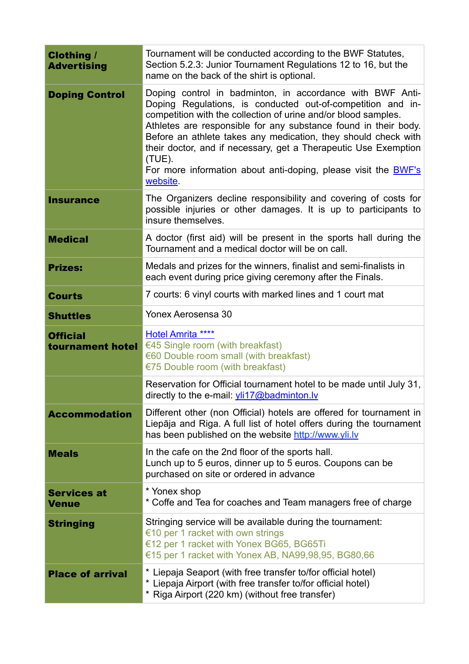| <b>Clothing /</b><br><b>Advertising</b> | Tournament will be conducted according to the BWF Statutes,<br>Section 5.2.3: Junior Tournament Regulations 12 to 16, but the<br>name on the back of the shirt is optional.                                                                                                                                                                                                                                                                                                                          |  |
|-----------------------------------------|------------------------------------------------------------------------------------------------------------------------------------------------------------------------------------------------------------------------------------------------------------------------------------------------------------------------------------------------------------------------------------------------------------------------------------------------------------------------------------------------------|--|
| <b>Doping Control</b>                   | Doping control in badminton, in accordance with BWF Anti-<br>Doping Regulations, is conducted out-of-competition and in-<br>competition with the collection of urine and/or blood samples.<br>Athletes are responsible for any substance found in their body.<br>Before an athlete takes any medication, they should check with<br>their doctor, and if necessary, get a Therapeutic Use Exemption<br>$(TUE)$ .<br>For more information about anti-doping, please visit the <b>BWF's</b><br>website. |  |
| <b>Insurance</b>                        | The Organizers decline responsibility and covering of costs for<br>possible injuries or other damages. It is up to participants to<br>insure themselves.                                                                                                                                                                                                                                                                                                                                             |  |
| <b>Medical</b>                          | A doctor (first aid) will be present in the sports hall during the<br>Tournament and a medical doctor will be on call.                                                                                                                                                                                                                                                                                                                                                                               |  |
| <b>Prizes:</b>                          | Medals and prizes for the winners, finalist and semi-finalists in<br>each event during price giving ceremony after the Finals.                                                                                                                                                                                                                                                                                                                                                                       |  |
| <b>Courts</b>                           | 7 courts: 6 vinyl courts with marked lines and 1 court mat                                                                                                                                                                                                                                                                                                                                                                                                                                           |  |
| <b>Shuttles</b>                         | Yonex Aerosensa 30                                                                                                                                                                                                                                                                                                                                                                                                                                                                                   |  |
| <b>Official</b><br>tournament hotel     | <b>Hotel Amrita ****</b><br>€45 Single room (with breakfast)<br>€60 Double room small (with breakfast)<br>€75 Double room (with breakfast)                                                                                                                                                                                                                                                                                                                                                           |  |
|                                         | Reservation for Official tournament hotel to be made until July 31,<br>directly to the e-mail: yli17@badminton.lv                                                                                                                                                                                                                                                                                                                                                                                    |  |
| <b>Accommodation</b>                    | Different other (non Official) hotels are offered for tournament in<br>Liepāja and Riga. A full list of hotel offers during the tournament<br>has been published on the website http://www.yli.lv                                                                                                                                                                                                                                                                                                    |  |
| <b>Meals</b>                            | In the cafe on the 2nd floor of the sports hall.<br>Lunch up to 5 euros, dinner up to 5 euros. Coupons can be<br>purchased on site or ordered in advance                                                                                                                                                                                                                                                                                                                                             |  |
| <b>Services at</b><br><b>Venue</b>      | * Yonex shop<br>* Coffe and Tea for coaches and Team managers free of charge                                                                                                                                                                                                                                                                                                                                                                                                                         |  |
| <b>Stringing</b>                        | Stringing service will be available during the tournament:<br>€10 per 1 racket with own strings<br>€12 per 1 racket with Yonex BG65, BG65Ti<br>€15 per 1 racket with Yonex AB, NA99,98,95, BG80,66                                                                                                                                                                                                                                                                                                   |  |
| <b>Place of arrival</b>                 | * Liepaja Seaport (with free transfer to/for official hotel)<br>* Liepaja Airport (with free transfer to/for official hotel)<br>* Riga Airport (220 km) (without free transfer)                                                                                                                                                                                                                                                                                                                      |  |